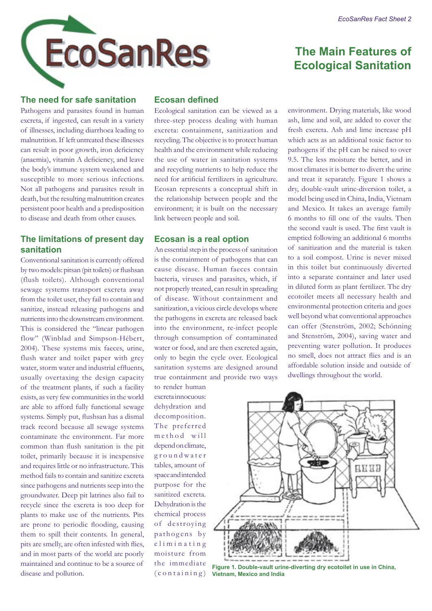# **The Main Features of Ecological Sanitation**

### **The need for safe sanitation**

Pathogens and parasites found in human excreta, if ingested, can result in a variety of illnesses, including diarrhoea leading to malnutrition. If left untreated these illnesses can result in poor growth, iron deficiency (anaemia), vitamin A deficiency, and leave the body's immune system weakened and susceptible to more serious infections. Not all pathogens and parasites result in death, but the resulting malnutrition creates persistent poor health and a predisposition to disease and death from other causes.

# **The limitations of present day sanitation**

Conventional sanitation is currently offered by two models: pitsan (pit toilets) or flushsan (flush toilets). Although conventional sewage systems transport excreta away from the toilet user, they fail to contain and sanitize, instead releasing pathogens and nutrients into the downstream environment. This is considered the "linear pathogen flow" (Winblad and Simpson-Hébert, 2004). These systems mix faeces, urine, flush water and toilet paper with grey water, storm water and industrial effluents, usually overtaxing the design capacity of the treatment plants, if such a facility exists, as very few communities in the world are able to afford fully functional sewage systems. Simply put, flushsan has a dismal track record because all sewage systems contaminate the environment. Far more common than flush sanitation is the pit toilet, primarily because it is inexpensive and requires little or no infrastructure. This method fails to contain and sanitize excreta since pathogens and nutrients seep into the groundwater. Deep pit latrines also fail to recycle since the excreta is too deep for plants to make use of the nutrients. Pits are prone to periodic flooding, causing them to spill their contents. In general, pits are smelly, are often infested with flies, and in most parts of the world are poorly maintained and continue to be a source of disease and pollution.

# **Ecosan defined**

Ecological sanitation can be viewed as a three-step process dealing with human excreta: containment, sanitization and recycling. The objective is to protect human health and the environment while reducing the use of water in sanitation systems and recycling nutrients to help reduce the need for artificial fertilizers in agriculture. Ecosan represents a conceptual shift in the relationship between people and the environment; it is built on the necessary link between people and soil.

#### **Ecosan is a real option**

An essential step in the process of sanitation is the containment of pathogens that can cause disease. Human faeces contain bacteria, viruses and parasites, which, if not properly treated, can result in spreading of disease. Without containment and sanitization, a vicious circle develops where the pathogens in excreta are released back into the environment, re-infect people through consumption of contaminated water or food, and are then excreted again, only to begin the cycle over. Ecological sanitation systems are designed around true containment and provide two ways

to render human excreta innocuous: dehydration and decomposition. The preferred m e thod will depend on climate, g r o u n d w a t e r tables, amount of space and intended purpose for the sanitized excreta. Dehydration is the chemical process of destroying pathogens by e liminating moisture from the immediate  $($ containing $)$  environment. Drying materials, like wood ash, lime and soil, are added to cover the fresh excreta. Ash and lime increase pH which acts as an additional toxic factor to pathogens if the pH can be raised to over 9.5. The less moisture the better, and in most climates it is better to divert the urine and treat it separately. Figure 1 shows a dry, double-vault urine-diversion toilet, a model being used in China, India, Vietnam and Mexico. It takes an average family 6 months to fill one of the vaults. Then the second vault is used. The first vault is emptied following an additional 6 months of sanitization and the material is taken to a soil compost. Urine is never mixed in this toilet but continuously diverted into a separate container and later used in diluted form as plant fertilizer. The dry ecotoilet meets all necessary health and environmental protection criteria and goes well beyond what conventional approaches can offer (Stenström, 2002; Schönning and Stenström, 2004), saving water and preventing water pollution. It produces no smell, does not attract flies and is an affordable solution inside and outside of dwellings throughout the world.



**Figure 1. Double-vault urine-diverting dry ecotoilet in use in China, Vietnam, Mexico and India**